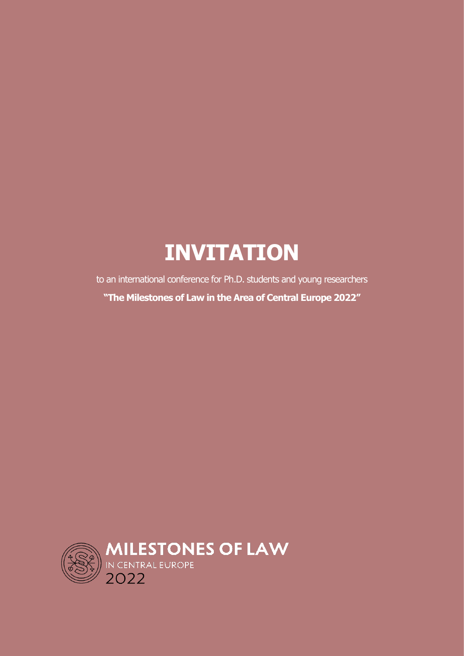# **INVITATION**

to an international conference for Ph.D. students and young researchers **"The Milestones of Law in the Area of Central Europe 2022"**

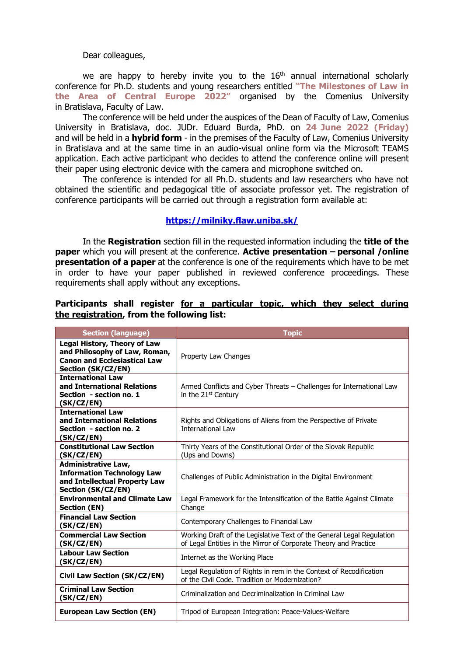#### Dear colleagues,

we are happy to hereby invite you to the  $16<sup>th</sup>$  annual international scholarly conference for Ph.D. students and young researchers entitled **"The Milestones of Law in the Area of Central Europe 2022"** organised by the Comenius University in Bratislava, Faculty of Law.

The conference will be held under the auspices of the Dean of Faculty of Law, Comenius University in Bratislava, doc. JUDr. Eduard Burda, PhD. on **24 June 2022 (Friday)** and will be held in a **hybrid form** - in the premises of the Faculty of Law, Comenius University in Bratislava and at the same time in an audio-visual online form via the Microsoft TEAMS application. Each active participant who decides to attend the conference online will present their paper using electronic device with the camera and microphone switched on.

The conference is intended for all Ph.D. students and law researchers who have not obtained the scientific and pedagogical title of associate professor yet. The registration of conference participants will be carried out through a registration form available at:

### **<https://milniky.flaw.uniba.sk/>**

In the **Registration** section fill in the requested information including the **title of the paper** which you will present at the conference. **Active presentation – personal /online presentation of a paper** at the conference is one of the requirements which have to be met in order to have your paper published in reviewed conference proceedings. These requirements shall apply without any exceptions.

## **Participants shall register for a particular topic, which they select during the registration, from the following list:**

| <b>Section (language)</b>                                                                                                         | <b>Topic</b>                                                                                                                              |
|-----------------------------------------------------------------------------------------------------------------------------------|-------------------------------------------------------------------------------------------------------------------------------------------|
| <b>Legal History, Theory of Law</b><br>and Philosophy of Law, Roman,<br><b>Canon and Ecclesiastical Law</b><br>Section (SK/CZ/EN) | Property Law Changes                                                                                                                      |
| <b>International Law</b><br>and International Relations<br>Section - section no. 1<br>(SK/CZ/EN)                                  | Armed Conflicts and Cyber Threats – Challenges for International Law<br>in the 21 <sup>st</sup> Century                                   |
| <b>International Law</b><br>and International Relations<br>Section - section no. 2<br>(SK/CZ/EN)                                  | Rights and Obligations of Aliens from the Perspective of Private<br><b>International Law</b>                                              |
| <b>Constitutional Law Section</b><br>(SK/CZ/EN)                                                                                   | Thirty Years of the Constitutional Order of the Slovak Republic<br>(Ups and Downs)                                                        |
| <b>Administrative Law,</b><br><b>Information Technology Law</b><br>and Intellectual Property Law<br>Section (SK/CZ/EN)            | Challenges of Public Administration in the Digital Environment                                                                            |
| <b>Environmental and Climate Law</b><br><b>Section (EN)</b>                                                                       | Legal Framework for the Intensification of the Battle Against Climate<br>Change                                                           |
| <b>Financial Law Section</b><br>(SK/CZ/EN)                                                                                        | Contemporary Challenges to Financial Law                                                                                                  |
| <b>Commercial Law Section</b><br>(SK/CZ/EN)                                                                                       | Working Draft of the Legislative Text of the General Legal Regulation<br>of Legal Entities in the Mirror of Corporate Theory and Practice |
| <b>Labour Law Section</b><br>(SK/CZ/EN)                                                                                           | Internet as the Working Place                                                                                                             |
| <b>Civil Law Section (SK/CZ/EN)</b>                                                                                               | Legal Regulation of Rights in rem in the Context of Recodification<br>of the Civil Code. Tradition or Modernization?                      |
| <b>Criminal Law Section</b><br>(SK/CZ/EN)                                                                                         | Criminalization and Decriminalization in Criminal Law                                                                                     |
| <b>European Law Section (EN)</b>                                                                                                  | Tripod of European Integration: Peace-Values-Welfare                                                                                      |